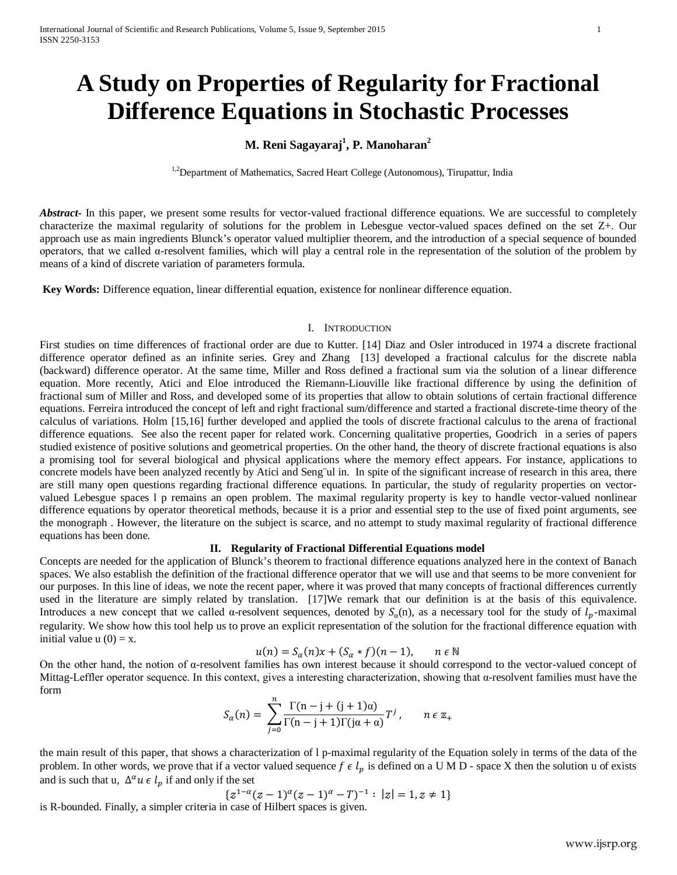# **A Study on Properties of Regularity for Fractional Difference Equations in Stochastic Processes**

# **M. Reni Sagayaraj1 , P. Manoharan2**

<sup>1,2</sup>Department of Mathematics, Sacred Heart College (Autonomous), Tirupattur, India

*Abstract* In this paper, we present some results for vector-valued fractional difference equations. We are successful to completely characterize the maximal regularity of solutions for the problem in Lebesgue vector-valued spaces defined on the set Z+. Our approach use as main ingredients Blunck's operator valued multiplier theorem, and the introduction of a special sequence of bounded operators, that we called α-resolvent families, which will play a central role in the representation of the solution of the problem by means of a kind of discrete variation of parameters formula.

**Key Words:** Difference equation, linear differential equation, existence for nonlinear difference equation.

# I. INTRODUCTION

First studies on time differences of fractional order are due to Kutter. [14] Diaz and Osler introduced in 1974 a discrete fractional difference operator defined as an infinite series. Grey and Zhang [13] developed a fractional calculus for the discrete nabla (backward) difference operator. At the same time, Miller and Ross defined a fractional sum via the solution of a linear difference equation. More recently, Atici and Eloe introduced the Riemann-Liouville like fractional difference by using the definition of fractional sum of Miller and Ross, and developed some of its properties that allow to obtain solutions of certain fractional difference equations. Ferreira introduced the concept of left and right fractional sum/difference and started a fractional discrete-time theory of the calculus of variations. Holm [15,16] further developed and applied the tools of discrete fractional calculus to the arena of fractional difference equations. See also the recent paper for related work. Concerning qualitative properties, Goodrich in a series of papers studied existence of positive solutions and geometrical properties. On the other hand, the theory of discrete fractional equations is also a promising tool for several biological and physical applications where the memory effect appears. For instance, applications to concrete models have been analyzed recently by Atici and Seng¨ul in. In spite of the significant increase of research in this area, there are still many open questions regarding fractional difference equations. In particular, the study of regularity properties on vectorvalued Lebesgue spaces l p remains an open problem. The maximal regularity property is key to handle vector-valued nonlinear difference equations by operator theoretical methods, because it is a prior and essential step to the use of fixed point arguments, see the monograph . However, the literature on the subject is scarce, and no attempt to study maximal regularity of fractional difference equations has been done.

## **II. Regularity of Fractional Differential Equations model**

Concepts are needed for the application of Blunck's theorem to fractional difference equations analyzed here in the context of Banach spaces. We also establish the definition of the fractional difference operator that we will use and that seems to be more convenient for our purposes. In this line of ideas, we note the recent paper, where it was proved that many concepts of fractional differences currently used in the literature are simply related by translation. [17]We remark that our definition is at the basis of this equivalence. Introduces a new concept that we called  $\alpha$ -resolvent sequences, denoted by  $S_{\alpha}(n)$ , as a necessary tool for the study of  $l_p$ -maximal regularity. We show how this tool help us to prove an explicit representation of the solution for the fractional difference equation with initial value  $u(0) = x$ .

$$
u(n) = S_{\alpha}(n)x + (S_{\alpha} * f)(n-1), \qquad n \in \mathbb{N}
$$

On the other hand, the notion of α-resolvent families has own interest because it should correspond to the vector-valued concept of Mittag-Leffler operator sequence. In this context, gives a interesting characterization, showing that  $\alpha$ -resolvent families must have the form

$$
S_{\alpha}(n) = \sum_{j=0}^{n} \frac{\Gamma(n-j+(j+1)\alpha)}{\Gamma(n-j+1)\Gamma(j\alpha+\alpha)} T^{j}, \qquad n \in \mathbb{Z}_{+}
$$

the main result of this paper, that shows a characterization of l p-maximal regularity of the Equation solely in terms of the data of the problem. In other words, we prove that if a vector valued sequence  $f \in l_n$  is defined on a U M D - space X then the solution u of exists and is such that u,  $\Delta^{\alpha} u \in l_n$  if and only if the set

$$
\{z^{1-\alpha}(z-1)^{\alpha}(z-1)^{\alpha}-T\}^{-1}: |z|=1, z\neq 1\}
$$

is R-bounded. Finally, a simpler criteria in case of Hilbert spaces is given.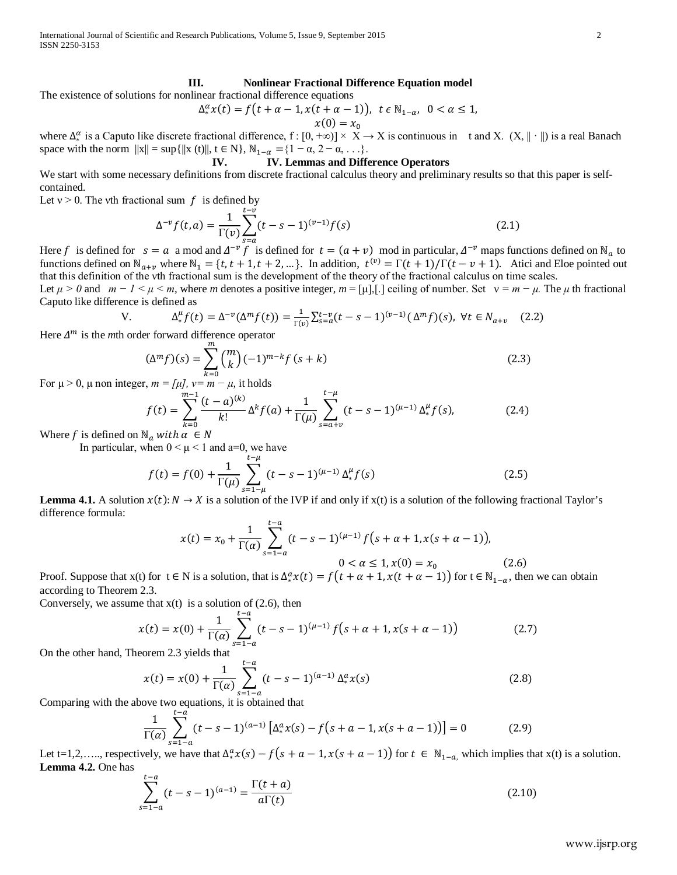International Journal of Scientific and Research Publications, Volume 5, Issue 9, September 2015 2 ISSN 2250-3153

# **III. Nonlinear Fractional Difference Equation model**

The existence of solutions for nonlinear fractional difference equations

$$
\Delta_*^{\alpha} x(t) = f(t + \alpha - 1, x(t + \alpha - 1)), \quad t \in \mathbb{N}_{1-\alpha}, \quad 0 < \alpha \le 1,
$$
\n
$$
x(0) = x_0
$$

where  $\Delta_*^{\alpha}$  is a Caputo like discrete fractional difference, f : [0, +∞)] × X → X is continuous in t and X. (X,  $\|\cdot\|$ ) is a real Banach space with the norm  $||x|| = \sup{||x(t)||, t \in N}$ ,  $N_{1-\alpha} = \{1 - \alpha, 2 - \alpha, ...\}$ .<br>IV. Lemmas and Diffe

# **IV. IV. Lemmas and Difference Operators**

We start with some necessary definitions from discrete fractional calculus theory and preliminary results so that this paper is selfcontained.

Let  $v > 0$ . The vth fractional sum f is defined by

$$
\Delta^{-\nu} f(t, a) = \frac{1}{\Gamma(\nu)} \sum_{s=a}^{t-\nu} (t - s - 1)^{(\nu - 1)} f(s)
$$
\n(2.1)

Here f is defined for  $s = a$  a mod and  $\Delta^{-\nu} f$  is defined for  $t = (a + \nu)$  mod in particular,  $\Delta^{-\nu}$  maps functions defined on N<sub>a</sub> to functions defined on  $\mathbb{N}_{q+v}$  where  $\mathbb{N}_1 = \{t, t+1, t+2, \dots\}$ . In addition,  $t^{(v)} = \Gamma(t+1)/\Gamma(t-v+1)$ . Atici and Eloe pointed out that this definition of the νth fractional sum is the development of the theory of the fractional calculus on time scales.

Let  $\mu > 0$  and  $m - 1 < \mu < m$ , where *m* denotes a positive integer,  $m = [\mu]$ ,[.] ceiling of number. Set  $v = m - \mu$ . The  $\mu$  th fractional Caputo like difference is defined as

$$
\Delta_{*}^{\mu} f(t) = \Delta^{-\nu}(\Delta^{m} f(t)) = \frac{1}{\Gamma(\nu)} \sum_{s=a}^{t-\nu} (t - s - 1)^{(\nu - 1)}(\Delta^{m} f)(s), \ \forall t \in N_{a+\nu} \quad (2.2)
$$

Here  $\Delta^m$  is the *m*th order forward difference operator

$$
(\Delta^m f)(s) = \sum_{k=0}^m \binom{m}{k} (-1)^{m-k} f(s+k)
$$
\n(2.3)

For  $\mu > 0$ ,  $\mu$  non integer,  $m = [\mu]$ ,  $\nu = m - \mu$ , it holds

$$
f(t) = \sum_{k=0}^{m-1} \frac{(t-a)^{(k)}}{k!} \Delta^k f(a) + \frac{1}{\Gamma(\mu)} \sum_{s=a+\nu}^{t-\mu} (t-s-1)^{(\mu-1)} \Delta^{\mu}_* f(s), \tag{2.4}
$$

Where f is defined on  $\mathbb{N}_a$  with  $\alpha \in \mathbb{N}$ 

 $V<sub>1</sub>$ 

In particular, when  $0 < \mu < 1$  and a=0, we have

$$
f(t) = f(0) + \frac{1}{\Gamma(\mu)} \sum_{s=1-\mu}^{t-\mu} (t-s-1)^{(\mu-1)} \Delta_*^{\mu} f(s)
$$
 (2.5)

**Lemma 4.1.** A solution  $x(t): N \to X$  is a solution of the IVP if and only if  $x(t)$  is a solution of the following fractional Taylor's difference formula:

$$
x(t) = x_0 + \frac{1}{\Gamma(\alpha)} \sum_{s=1-\alpha}^{t-\alpha} (t-s-1)^{(\mu-1)} f(s+\alpha+1, x(s+\alpha-1)),
$$
  
0 < \alpha \le 1, x(0) = x\_0 (2.6)

Proof. Suppose that  $x(t)$  for  $t \in N$  is a solution, that is  $\Delta_*^a x(t) = f(t + \alpha + 1, x(t + \alpha - 1))$  for  $t \in N_{1-\alpha}$ , then we can obtain according to Theorem 2.3.

Conversely, we assume that  $x(t)$  is a solution of (2.6), then

$$
x(t) = x(0) + \frac{1}{\Gamma(\alpha)} \sum_{s=1-\alpha}^{t-\alpha} (t-s-1)^{(\mu-1)} f(s+\alpha+1, x(s+\alpha-1))
$$
(2.7)

On the other hand, Theorem 2.3 yields that

$$
x(t) = x(0) + \frac{1}{\Gamma(\alpha)} \sum_{s=1-a}^{t-a} (t-s-1)^{(a-1)} \Delta_*^a x(s)
$$
 (2.8)

Comparing with the above two equations, it is obtained that

$$
\frac{1}{\Gamma(\alpha)} \sum_{s=1-a}^{t-a} (t-s-1)^{(a-1)} \left[ \Delta_*^a x(s) - f(s+a-1, x(s+a-1)) \right] = 0 \tag{2.9}
$$

Let t=1,2,...., respectively, we have that  $\Delta_*^a x(s) - f(s + a - 1, x(s + a - 1))$  for  $t \in \mathbb{N}_{1-a}$ , which implies that  $x(t)$  is a solution. **Lemma 4.2.** One has

$$
\sum_{s=1-a}^{t-a} (t-s-1)^{(a-1)} = \frac{\Gamma(t+a)}{a\Gamma(t)}
$$
\n(2.10)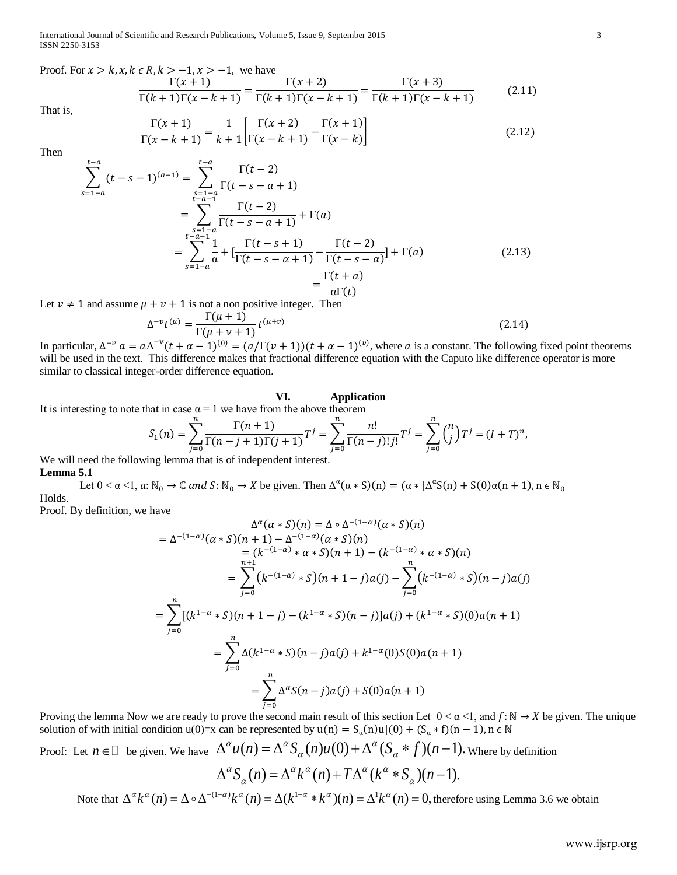International Journal of Scientific and Research Publications, Volume 5, Issue 9, September 2015 3 ISSN 2250-3153

Proof. For  $x > k$ ,  $x, k \in R$ ,  $k > -1$ ,  $x > -1$ , we have

$$
\frac{\Gamma(x+1)}{\Gamma(k+1)\Gamma(x-k+1)} = \frac{\Gamma(x+2)}{\Gamma(k+1)\Gamma(x-k+1)} = \frac{\Gamma(x+3)}{\Gamma(k+1)\Gamma(x-k+1)}
$$
(2.11)

That is,

$$
\frac{\Gamma(x+1)}{\Gamma(x-k+1)} = \frac{1}{k+1} \left[ \frac{\Gamma(x+2)}{\Gamma(x-k+1)} - \frac{\Gamma(x+1)}{\Gamma(x-k)} \right] \tag{2.12}
$$

Then

$$
\sum_{s=1-a}^{t-a} (t-s-1)^{(a-1)} = \sum_{\substack{s=1-a \ r-a-1}}^{t-a} \frac{\Gamma(t-2)}{\Gamma(t-s-a+1)}
$$
  
= 
$$
\sum_{\substack{s=1-a \ r-a-1}}^{t-a-1} \frac{\Gamma(t-2)}{\Gamma(t-s-a+1)} + \Gamma(a)
$$
  
= 
$$
\sum_{s=1-a}^{t-a-1} \frac{1}{a} + [\frac{\Gamma(t-s+1)}{\Gamma(t-s-a+1)} - \frac{\Gamma(t-2)}{\Gamma(t-s-a)}] + \Gamma(a)
$$
(2.13)  
= 
$$
\frac{\Gamma(t+a)}{a\Gamma(t)}
$$

Let  $v \neq 1$  and assume  $\mu + v + 1$  is not a non positive integer. Then

$$
\Delta^{-\nu}t^{(\mu)} = \frac{\Gamma(\mu+1)}{\Gamma(\mu+\nu+1)}t^{(\mu+\nu)}
$$
\n(2.14)

In particular,  $\Delta^{-\nu} a = a\Delta^{-\nu}(t + \alpha - 1)^{(0)} = (a/\Gamma(\nu + 1))(t + \alpha - 1)^{(\nu)}$ , where a is a constant. The following fixed point theorems will be used in the text. This difference makes that fractional difference equation with the Caputo like difference operator is more similar to classical integer-order difference equation.

#### **VI. Application**

It is interesting to note that in case  $\alpha = 1$  we have from the above theorem

$$
S_1(n) = \sum_{j=0}^n \frac{\Gamma(n+1)}{\Gamma(n-j+1)\Gamma(j+1)} T^j = \sum_{j=0}^n \frac{n!}{\Gamma(n-j)! \, j!} T^j = \sum_{j=0}^n {n \choose j} T^j = (I+T)^n,
$$

We will need the following lemma that is of independent interest. **Lemma 5.1**

Let  $0 < \alpha < 1$ ,  $\alpha: \mathbb{N}_0 \to \mathbb{C}$  and  $S: \mathbb{N}_0 \to X$  be given. Then  $\Delta^{\alpha}(\alpha * S)(n) = (\alpha * | \Delta^{\alpha} S(n) + S(0) \alpha(n + 1)$ ,  $n \in \mathbb{N}_0$ Holds.

Proof. By definition, we have

$$
\Delta^{\alpha}(\alpha * S)(n) = \Delta \circ \Delta^{-(1-\alpha)}(\alpha * S)(n)
$$
  
\n
$$
= \Delta^{-(1-\alpha)}(\alpha * S)(n+1) - \Delta^{-(1-\alpha)}(\alpha * S)(n)
$$
  
\n
$$
= (k^{-(1-\alpha)} * \alpha * S)(n+1) - (k^{-(1-\alpha)} * \alpha * S)(n)
$$
  
\n
$$
= \sum_{j=0}^{n+1} (k^{-(1-\alpha)} * S)(n+1-j)a(j) - \sum_{j=0}^{n} (k^{-(1-\alpha)} * S)(n-j)a(j)
$$
  
\n
$$
= \sum_{j=0}^{n} [(k^{1-\alpha} * S)(n+1-j) - (k^{1-\alpha} * S)(n-j)]a(j) + (k^{1-\alpha} * S)(0)a(n+1)
$$
  
\n
$$
= \sum_{j=0}^{n} \Delta(k^{1-\alpha} * S)(n-j)a(j) + k^{1-\alpha}(0)S(0)a(n+1)
$$
  
\n
$$
= \sum_{j=0}^{n} \Delta^{\alpha} S(n-j)a(j) + S(0)a(n+1)
$$

Proving the lemma Now we are ready to prove the second main result of this section Let  $0 < \alpha < 1$ , and  $f: \mathbb{N} \to X$  be given. The unique solution of with initial condition u(0)=x can be represented by u(n) =  $S_\alpha(n)u|(0) + (S_\alpha * f)(n-1)$ , n  $\in \mathbb{N}$ 

Proof: Let  $n \in \mathbb{D}$  be given. We have  $\Delta^{\alpha} u(n) = \Delta^{\alpha} S_{\alpha}(n) u(0) + \Delta^{\alpha} (S_{\alpha} * f)(n-1)$ . Where by definition

$$
\Delta^{\alpha} S_{\alpha}(n) = \Delta^{\alpha} k^{\alpha}(n) + T \Delta^{\alpha} (k^{\alpha} * S_{\alpha})(n-1).
$$

Note that  $\Delta^{\alpha} k^{\alpha}(n) = \Delta \circ \Delta^{-(1-\alpha)} k^{\alpha}(n) = \Delta(k^{1-\alpha} * k^{\alpha})(n) = \Delta^{1} k^{\alpha}(n) = 0$ , therefore using Lemma 3.6 we obtain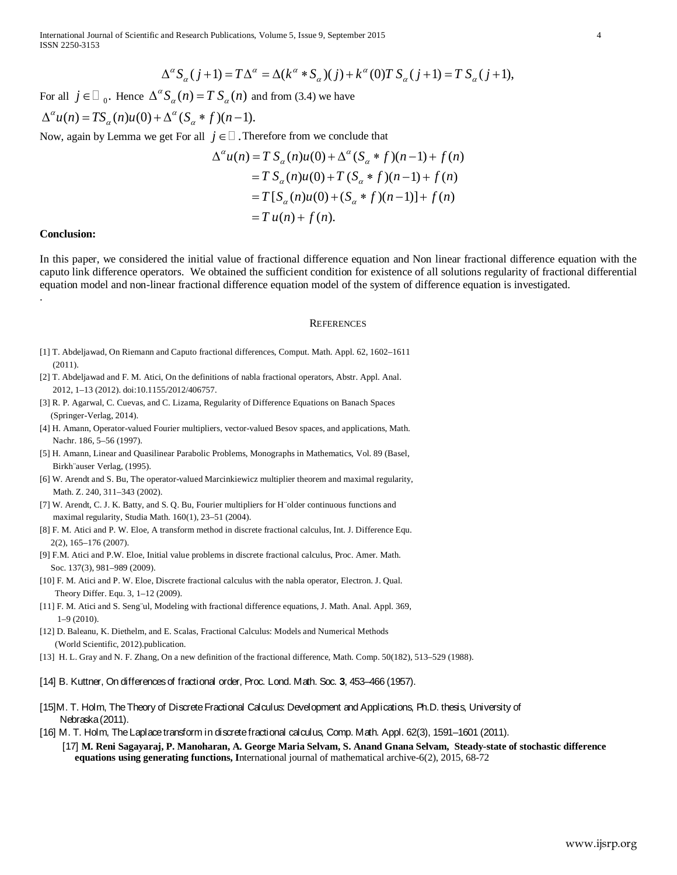$$
\Delta^{\alpha} S_{\alpha}(j+1) = T\Delta^{\alpha} = \Delta(k^{\alpha} * S_{\alpha})(j) + k^{\alpha}(0)T S_{\alpha}(j+1) = T S_{\alpha}(j+1),
$$

For all  $j \in \Box$  <sub>0</sub>. Hence  $\Delta^{\alpha} S_{\alpha}(n) = T S_{\alpha}(n)$  and from (3.4) we have

$$
\Delta^{\alpha} u(n) = TS_{\alpha}(n)u(0) + \Delta^{\alpha}(S_{\alpha} * f)(n-1).
$$

Now, again by Lemma we get For all  $j \in \Box$ . Therefore from we conclude that

$$
\Delta^{\alpha}u(n) = T S_{\alpha}(n)u(0) + \Delta^{\alpha}(S_{\alpha} * f)(n-1) + f(n)
$$
  
=  $T S_{\alpha}(n)u(0) + T (S_{\alpha} * f)(n-1) + f(n)$   
=  $T [S_{\alpha}(n)u(0) + (S_{\alpha} * f)(n-1)] + f(n)$   
=  $T u(n) + f(n)$ .

### **Conclusion:**

.

In this paper, we considered the initial value of fractional difference equation and Non linear fractional difference equation with the caputo link difference operators. We obtained the sufficient condition for existence of all solutions regularity of fractional differential equation model and non-linear fractional difference equation model of the system of difference equation is investigated.

#### **REFERENCES**

- [1] T. Abdeljawad, On Riemann and Caputo fractional differences, Comput. Math. Appl. 62, 1602–1611 (2011).
- [2] T. Abdeljawad and F. M. Atici, On the definitions of nabla fractional operators, Abstr. Appl. Anal. 2012, 1–13 (2012). doi:10.1155/2012/406757.
- [3] R. P. Agarwal, C. Cuevas, and C. Lizama, Regularity of Difference Equations on Banach Spaces (Springer-Verlag, 2014).
- [4] H. Amann, Operator-valued Fourier multipliers, vector-valued Besov spaces, and applications, Math. Nachr. 186, 5–56 (1997).
- [5] H. Amann, Linear and Quasilinear Parabolic Problems, Monographs in Mathematics, Vol. 89 (Basel, Birkh¨auser Verlag, (1995).
- [6] W. Arendt and S. Bu, The operator-valued Marcinkiewicz multiplier theorem and maximal regularity, Math. Z. 240, 311–343 (2002).
- [7] W. Arendt, C. J. K. Batty, and S. Q. Bu, Fourier multipliers for H¨older continuous functions and maximal regularity, Studia Math. 160(1), 23–51 (2004).
- [8] F. M. Atici and P. W. Eloe, A transform method in discrete fractional calculus, Int. J. Difference Equ. 2(2), 165–176 (2007).
- [9] F.M. Atici and P.W. Eloe, Initial value problems in discrete fractional calculus, Proc. Amer. Math. Soc. 137(3), 981–989 (2009).
- [10] F. M. Atici and P. W. Eloe, Discrete fractional calculus with the nabla operator, Electron. J. Qual. Theory Differ. Equ. 3, 1–12 (2009).
- [11] F. M. Atici and S. Seng¨ul, Modeling with fractional difference equations, J. Math. Anal. Appl. 369, 1–9 (2010).
- [12] D. Baleanu, K. Diethelm, and E. Scalas, Fractional Calculus: Models and Numerical Methods (World Scientific, 2012).publication.
- [13] H. L. Gray and N. F. Zhang, On a new definition of the fractional difference, Math. Comp. 50(182), 513–529 (1988).

#### [14] B. Kuttner, On differences of fractional order, Proc. Lond. Math. Soc. **3**, 453–466 (1957).

- [15]M. T. Holm, The Theory of Discrete Fractional Calculus: Development and Applications, Ph.D. thesis, University of Nebraska (2011).
- [16] M. T. Holm, The Laplace transform in discrete fractional calculus, Comp. Math. Appl. 62(3), 1591–1601 (2011).
	- [17] **M. Reni Sagayaraj, P. Manoharan, A. George Maria Selvam, S. Anand Gnana Selvam, Steady-state of stochastic difference equations using generating functions, I**nternational journal of mathematical archive-6(2), 2015, 68-72